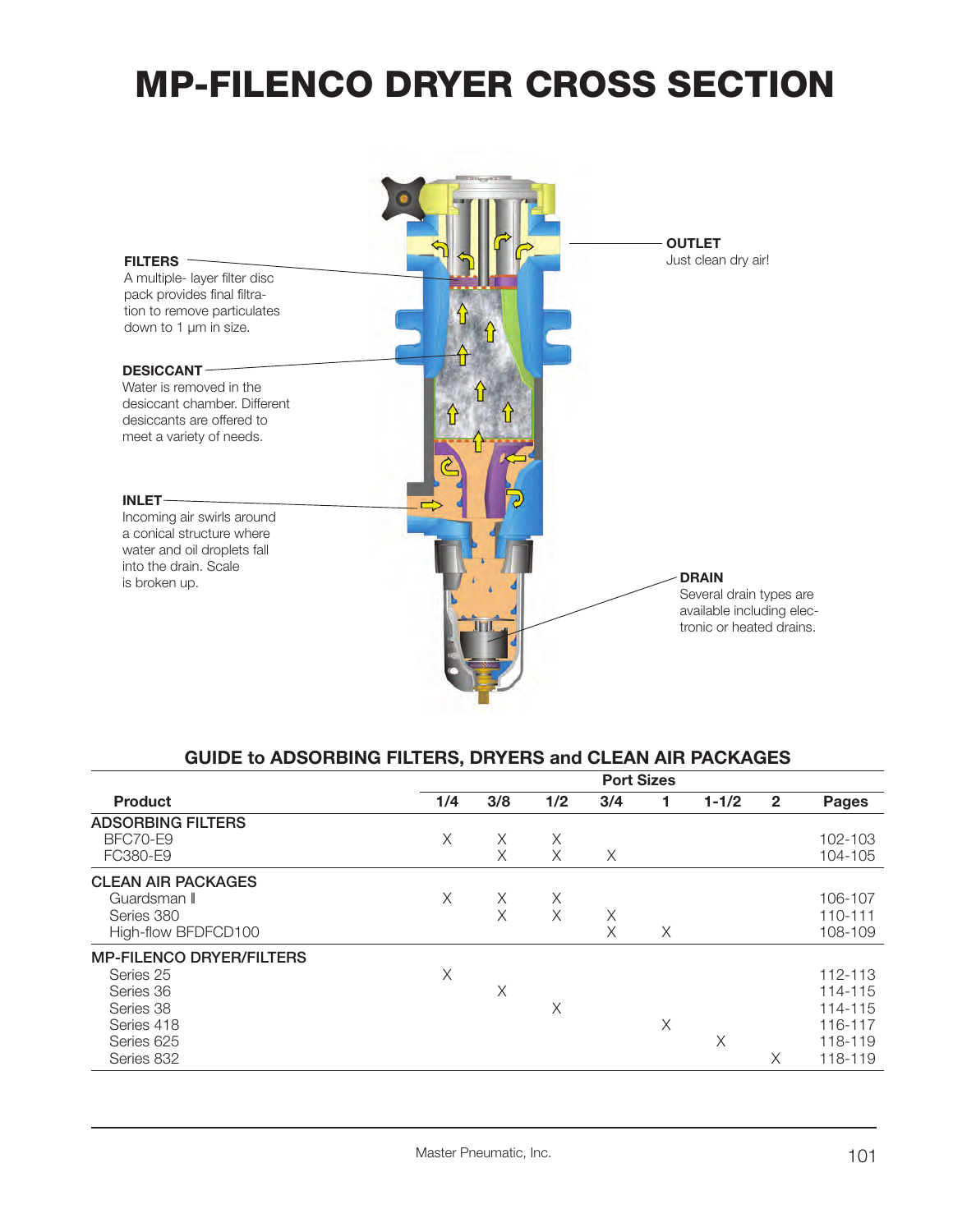### **MP-FILENCO DRYER CROSS SECTION**



### **GUIDE to ADSORBING FILTERS, DRYERS and CLEAN AIR PACKAGES**

|                                 |     |     |     | <b>Port Sizes</b> |   |           |                |              |
|---------------------------------|-----|-----|-----|-------------------|---|-----------|----------------|--------------|
| <b>Product</b>                  | 1/4 | 3/8 | 1/2 | 3/4               | 1 | $1 - 1/2$ | $\overline{2}$ | <b>Pages</b> |
| <b>ADSORBING FILTERS</b>        |     |     |     |                   |   |           |                |              |
| BFC70-E9                        | Χ   | X   | Χ   |                   |   |           |                | 102-103      |
| FC380-E9                        |     | X   | Χ   | Χ                 |   |           |                | 104-105      |
| <b>CLEAN AIR PACKAGES</b>       |     |     |     |                   |   |           |                |              |
| Guardsman II                    | X   | Χ   | X   |                   |   |           |                | 106-107      |
| Series 380                      |     | X   | X   | Χ                 |   |           |                | 110-111      |
| High-flow BFDFCD100             |     |     |     | X                 | X |           |                | 108-109      |
| <b>MP-FILENCO DRYER/FILTERS</b> |     |     |     |                   |   |           |                |              |
| Series 25                       | X   |     |     |                   |   |           |                | 112-113      |
| Series 36                       |     | X   |     |                   |   |           |                | 114-115      |
| Series 38                       |     |     | X   |                   |   |           |                | 114-115      |
| Series 418                      |     |     |     |                   | Χ |           |                | 116-117      |
| Series 625                      |     |     |     |                   |   | Χ         |                | 118-119      |
| Series 832                      |     |     |     |                   |   |           | Χ              | 118-119      |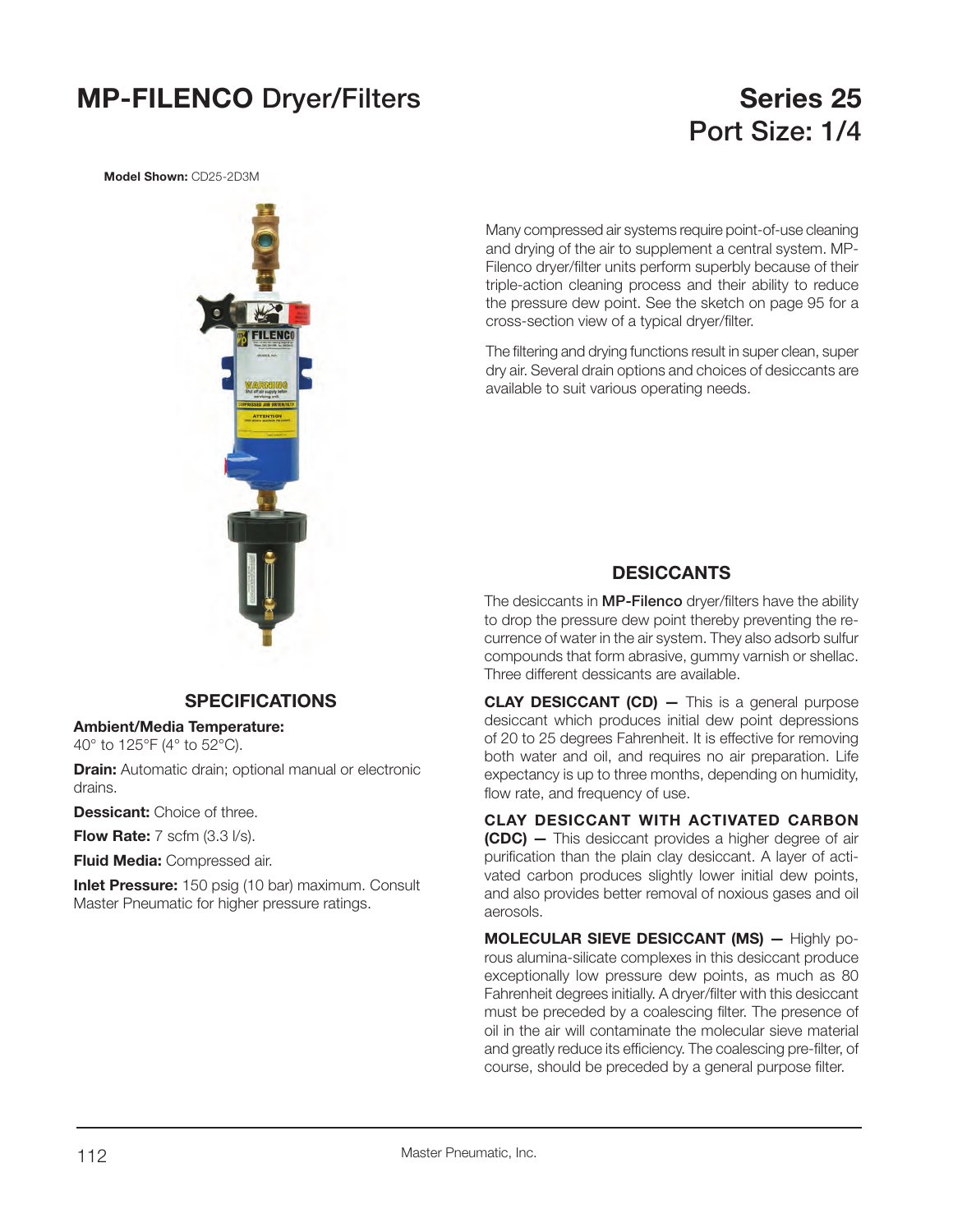### **MP-FILENCO** Dryer/Filters **Series 25**

### **Port Size: 1/4**

**Model Shown:** CD25-2D3M



Many compressed air systems require point-of-use cleaning and drying of the air to supplement a central system. MP-Filenco dryer/filter units perform superbly because of their triple-action cleaning process and their ability to reduce the pressure dew point. See the sketch on page 95 for a cross-section view of a typical dryer/filter.

The filtering and drying functions result in super clean, super dry air. Several drain options and choices of desiccants are available to suit various operating needs.

### **DESICCANTS**

The desiccants in **MP-Filenco** dryer/filters have the ability to drop the pressure dew point thereby preventing the recurrence of water in the air system. They also adsorb sulfur compounds that form abrasive, gummy varnish or shellac. Three different dessicants are available.

**CLAY DESICCANT (CD) —** This is a general purpose desiccant which produces initial dew point depressions of 20 to 25 degrees Fahrenheit. It is effective for removing both water and oil, and requires no air preparation. Life expectancy is up to three months, depending on humidity, flow rate, and frequency of use.

**CLAY DESICCANT WITH ACTIVATED CARBON (CDC) —** This desiccant provides a higher degree of air purification than the plain clay desiccant. A layer of activated carbon produces slightly lower initial dew points, and also provides better removal of noxious gases and oil aerosols.

**MOLECULAR SIEVE DESICCANT (MS) —** Highly porous alumina-silicate complexes in this desiccant produce exceptionally low pressure dew points, as much as 80 Fahrenheit degrees initially. A dryer/filter with this desiccant must be preceded by a coalescing filter. The presence of oil in the air will contaminate the molecular sieve material and greatly reduce its efficiency. The coalescing pre-filter, of course, should be preceded by a general purpose filter.

### **SPECIFICATIONS**

**Ambient/Media Temperature:** 

40° to 125°F (4° to 52°C).

**Drain:** Automatic drain; optional manual or electronic drains.

**Dessicant:** Choice of three.

**Flow Rate:** 7 scfm (3.3 l/s).

**Fluid Media:** Compressed air.

**Inlet Pressure:** 150 psig (10 bar) maximum. Consult Master Pneumatic for higher pressure ratings.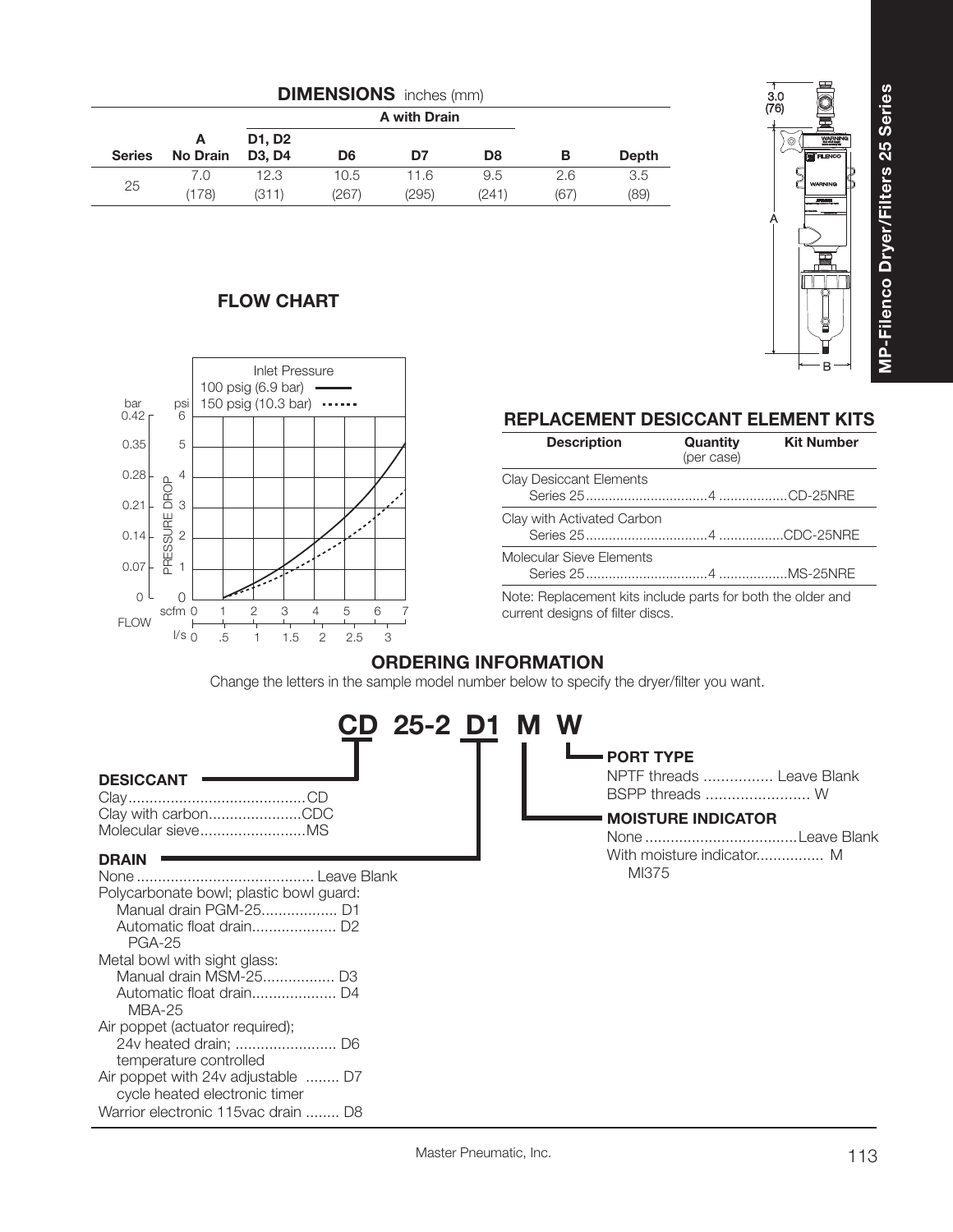|               |                      |                                           |       | A with Drain |       |      |       |
|---------------|----------------------|-------------------------------------------|-------|--------------|-------|------|-------|
| <b>Series</b> | A<br><b>No Drain</b> | D1, D2<br>D <sub>3</sub> , D <sub>4</sub> | D6    | D7           | D8    | в    | Depth |
|               | 7.0                  | 12.3                                      | 10.5  | 11.6         | 9.5   | 2.6  | 3.5   |
| 25            | (178)                | (311)                                     | (267) | (295)        | (241) | (67) | (89)  |

### BA3.0 (76) WARNING**FILENCO** WARNING

### **FLOW CHART**



### **REPLACEMENT DESICCANT ELEMENT KITS**

| <b>Description</b>                                                                 | Quantity<br>(per case) | <b>Kit Number</b> |
|------------------------------------------------------------------------------------|------------------------|-------------------|
| <b>Clay Desiccant Elements</b>                                                     |                        |                   |
| Clay with Activated Carbon                                                         |                        |                   |
| Molecular Sieve Elements                                                           |                        |                   |
| المعرم برماماها والمطلب والبرمة وباسمو والمسامعا وبالمشاطئ المعووم ومواجعا وملوانا |                        |                   |

Note: Replacement kits include parts for both the older and current designs of filter discs.

### **ORDERING INFORMATION**

Change the letters in the sample model number below to specify the dryer/filter you want.

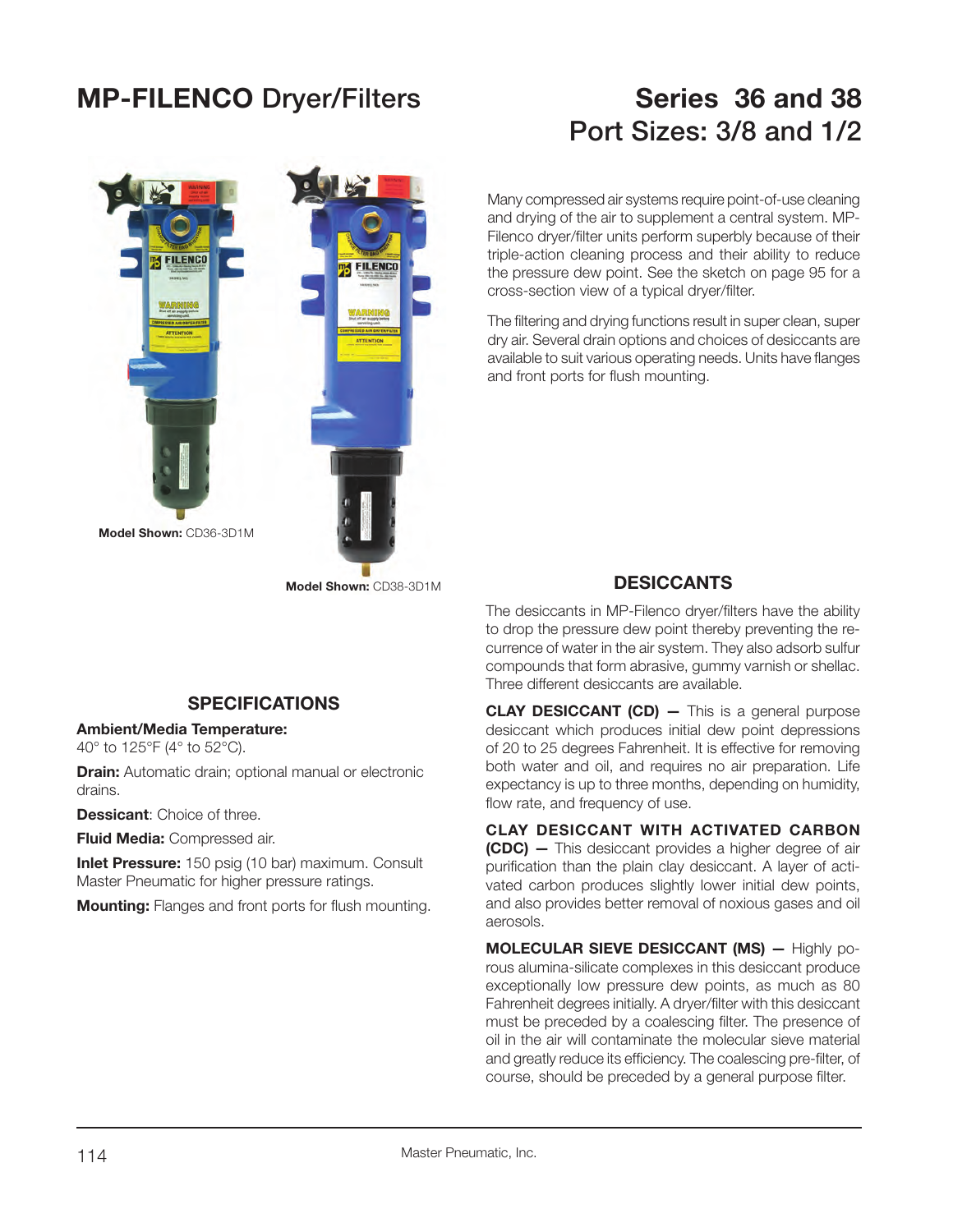### **MP-FILENCO Dryer/Filters Series 36 and 38**

# **FILENCO** FILENCO **Model Shown:** CD36-3D1M**Model Shown:** CD38-3D1M

### **SPECIFICATIONS**

### **Ambient/Media Temperature:**

40° to 125°F (4° to 52°C).

**Drain:** Automatic drain; optional manual or electronic drains.

**Dessicant**: Choice of three.

**Fluid Media:** Compressed air.

**Inlet Pressure:** 150 psig (10 bar) maximum. Consult Master Pneumatic for higher pressure ratings.

**Mounting:** Flanges and front ports for flush mounting.

### **Port Sizes: 3/8 and 1/2**

Many compressed air systems require point-of-use cleaning and drying of the air to supplement a central system. MP-Filenco dryer/filter units perform superbly because of their triple-action cleaning process and their ability to reduce the pressure dew point. See the sketch on page 95 for a cross-section view of a typical dryer/filter.

The filtering and drying functions result in super clean, super dry air. Several drain options and choices of desiccants are available to suit various operating needs. Units have flanges and front ports for flush mounting.

### **DESICCANTS**

The desiccants in MP-Filenco dryer/filters have the ability to drop the pressure dew point thereby preventing the recurrence of water in the air system. They also adsorb sulfur compounds that form abrasive, gummy varnish or shellac. Three different desiccants are available.

**CLAY DESICCANT (CD) –** This is a general purpose desiccant which produces initial dew point depressions of 20 to 25 degrees Fahrenheit. It is effective for removing both water and oil, and requires no air preparation. Life expectancy is up to three months, depending on humidity, flow rate, and frequency of use.

**CLAY DESICCANT WITH ACTIVATED CARBON (CDC) —** This desiccant provides a higher degree of air purification than the plain clay desiccant. A layer of activated carbon produces slightly lower initial dew points, and also provides better removal of noxious gases and oil aerosols.

**MOLECULAR SIEVE DESICCANT (MS) —** Highly porous alumina-silicate complexes in this desiccant produce exceptionally low pressure dew points, as much as 80 Fahrenheit degrees initially. A dryer/filter with this desiccant must be preceded by a coalescing filter. The presence of oil in the air will contaminate the molecular sieve material and greatly reduce its efficiency. The coalescing pre-filter, of course, should be preceded by a general purpose filter.

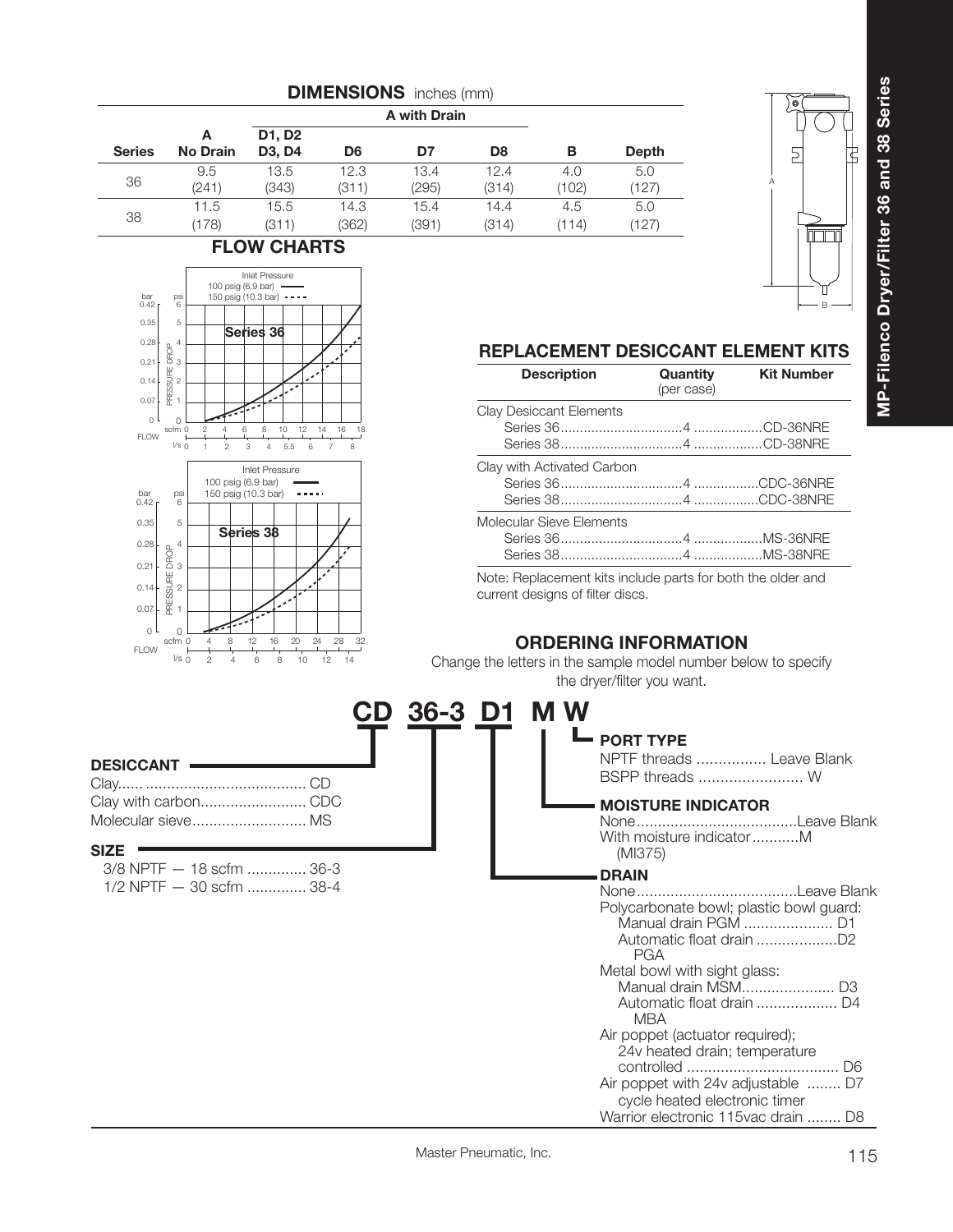

 $6 8 10$ 

Inlet Pressure

 $2 \t 3 \t 4 \t 5.5$ 

**Series 36**

100 psig (6.9 bar) 150 psig (10.3 bar)

**Series 38**

0 4 8 12 16 20 24

 $2\qquad 4\qquad 6\qquad 8\qquad 10\qquad 12$ 

l/s 0

ps<br>6

5

l/s 0

o l 0.07 0.14 0.21 0.28

FLOW

PRESSURE DROP

 $\overline{0}$ 0.070.14  $0.2^{\circ}$ 0.28

FLOW

bar 0.42

0.35

bar 0.42

 $0.35$ 

PRESSURE DROP

PRESSURE DROP

psi 6

5

 $12$ 

6

 $\sim$  . . . .

24

28 32 14

14 16 78 18



### **REPLACEMENT DESICCANT ELEMENT KITS**

Note: Replacement kits include parts for both the older and current designs of filter discs.

### **ORDERING INFORMATION**

Change the letters in the sample model number below to specify the dryer/filter you want.

| <b>DESICCANT</b>                                                    | D 36-3 D1 | <b>MW</b><br><b>PORT TYPE</b><br>NPTF threads  Leave Blank<br>BSPP threads  W                                                                                                                 |
|---------------------------------------------------------------------|-----------|-----------------------------------------------------------------------------------------------------------------------------------------------------------------------------------------------|
|                                                                     |           | <b>MOISTURE INDICATOR</b><br>With moisture indicatorM                                                                                                                                         |
| <b>SIZE</b><br>3/8 NPTF - 18 scfm  36-3<br>1/2 NPTF - 30 scfm  38-4 |           | (MI375)<br><b>DRAIN</b><br>Polycarbonate bowl; plastic bowl guard:<br><b>PGA</b><br>Metal bowl with sight glass:                                                                              |
|                                                                     |           | <b>MBA</b><br>Air poppet (actuator required);<br>24v heated drain; temperature<br>Air poppet with 24v adjustable  D7<br>cycle heated electronic timer<br>Warrior electronic 115 vac drain  D8 |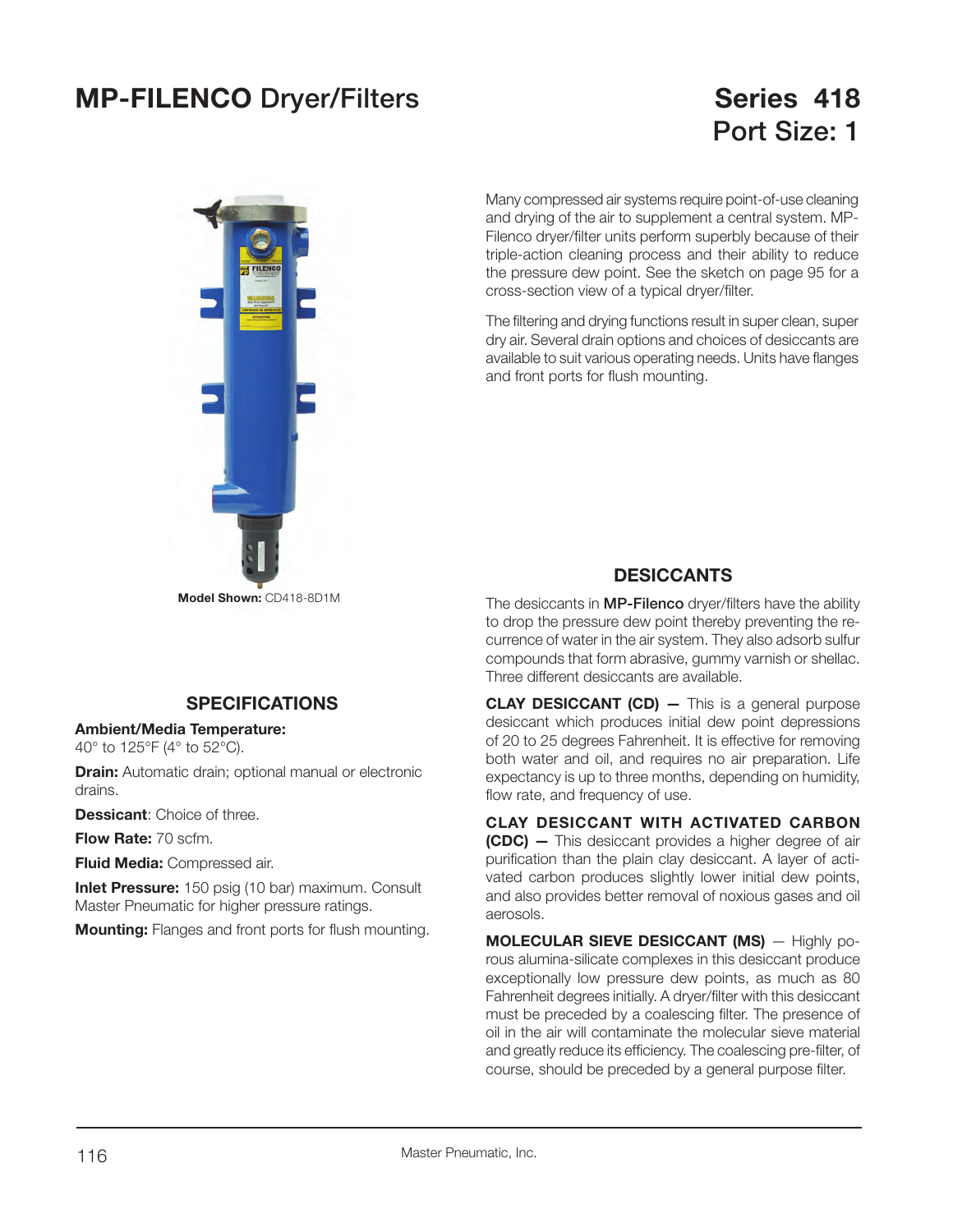### **MP-FILENCO Dryer/Filters Series 418**

# **Port Size: 1**



Many compressed air systems require point-of-use cleaning and drying of the air to supplement a central system. MP-Filenco dryer/filter units perform superbly because of their triple-action cleaning process and their ability to reduce the pressure dew point. See the sketch on page 95 for a cross-section view of a typical dryer/filter.

The filtering and drying functions result in super clean, super dry air. Several drain options and choices of desiccants are available to suit various operating needs. Units have flanges and front ports for flush mounting.

### **DESICCANTS**

The desiccants in **MP-Filenco** dryer/filters have the ability to drop the pressure dew point thereby preventing the recurrence of water in the air system. They also adsorb sulfur compounds that form abrasive, gummy varnish or shellac. Three different desiccants are available.

**CLAY DESICCANT (CD) –** This is a general purpose desiccant which produces initial dew point depressions of 20 to 25 degrees Fahrenheit. It is effective for removing both water and oil, and requires no air preparation. Life expectancy is up to three months, depending on humidity, flow rate, and frequency of use.

**CLAY DESICCANT WITH ACTIVATED CARBON (CDC) —** This desiccant provides a higher degree of air purification than the plain clay desiccant. A layer of activated carbon produces slightly lower initial dew points, and also provides better removal of noxious gases and oil aerosols.

**MOLECULAR SIEVE DESICCANT (MS)** — Highly porous alumina-silicate complexes in this desiccant produce exceptionally low pressure dew points, as much as 80 Fahrenheit degrees initially. A dryer/filter with this desiccant must be preceded by a coalescing filter. The presence of oil in the air will contaminate the molecular sieve material and greatly reduce its efficiency. The coalescing pre-filter, of course, should be preceded by a general purpose filter.

### **SPECIFICATIONS**

#### **Ambient/Media Temperature:**

40° to 125°F (4° to 52°C).

**Drain:** Automatic drain; optional manual or electronic drains.

**Dessicant**: Choice of three.

**Flow Rate:** 70 scfm.

**Fluid Media:** Compressed air.

**Inlet Pressure:** 150 psig (10 bar) maximum. Consult Master Pneumatic for higher pressure ratings.

**Mounting:** Flanges and front ports for flush mounting.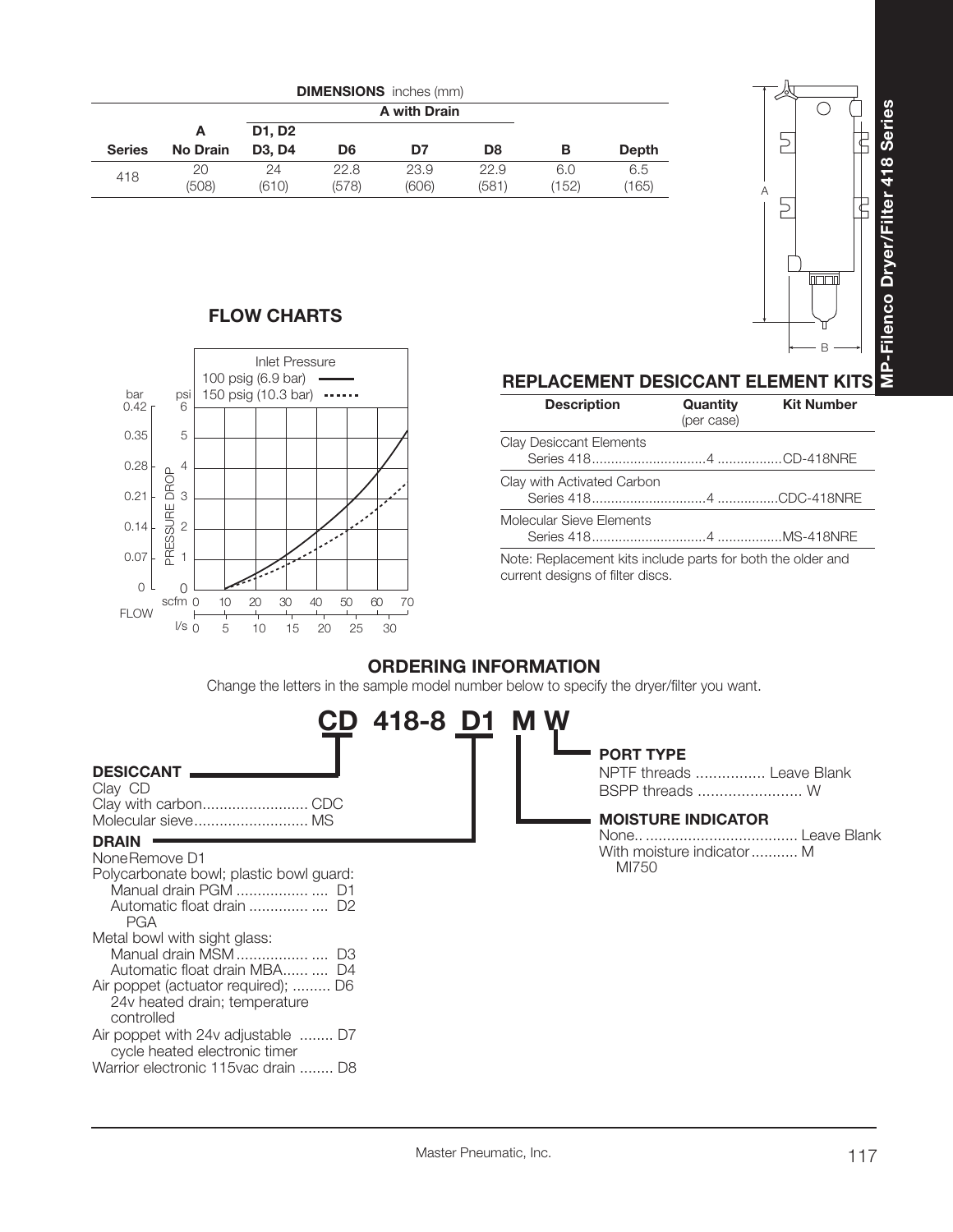

|               |                 |                                 |                | A with Drain |       |       |              |
|---------------|-----------------|---------------------------------|----------------|--------------|-------|-------|--------------|
|               | A               | D1, D2                          |                |              |       |       |              |
| <b>Series</b> | <b>No Drain</b> | D <sub>3</sub> . D <sub>4</sub> | D <sub>6</sub> | D7           | D8    | в     | <b>Depth</b> |
| 418           | 20              | 24                              | 22.8           | 23.9         | 22.9  | 6.0   | 6.5          |
|               | (508)           | (610)                           | (578)          | (606)        | (581) | (152) | (165)        |

### **FLOW CHARTS**



| <b>REPLACEMENT DESICCANT ELEMENT KITS</b> |                        |                   |
|-------------------------------------------|------------------------|-------------------|
| <b>Description</b>                        | Quantity<br>(per case) | <b>Kit Number</b> |
| Clay Desiccant Elements                   |                        |                   |

| Clay with Activated Carbon                                  |  |
|-------------------------------------------------------------|--|
|                                                             |  |
| Molecular Sieve Elements                                    |  |
|                                                             |  |
| Note: Deplecement lite include porto for both the elder and |  |

Note: Replacement kits include parts for both the older and current designs of filter discs.

### **ORDERING INFORMATION**

Change the letters in the sample model number below to specify the dryer/filter you want.

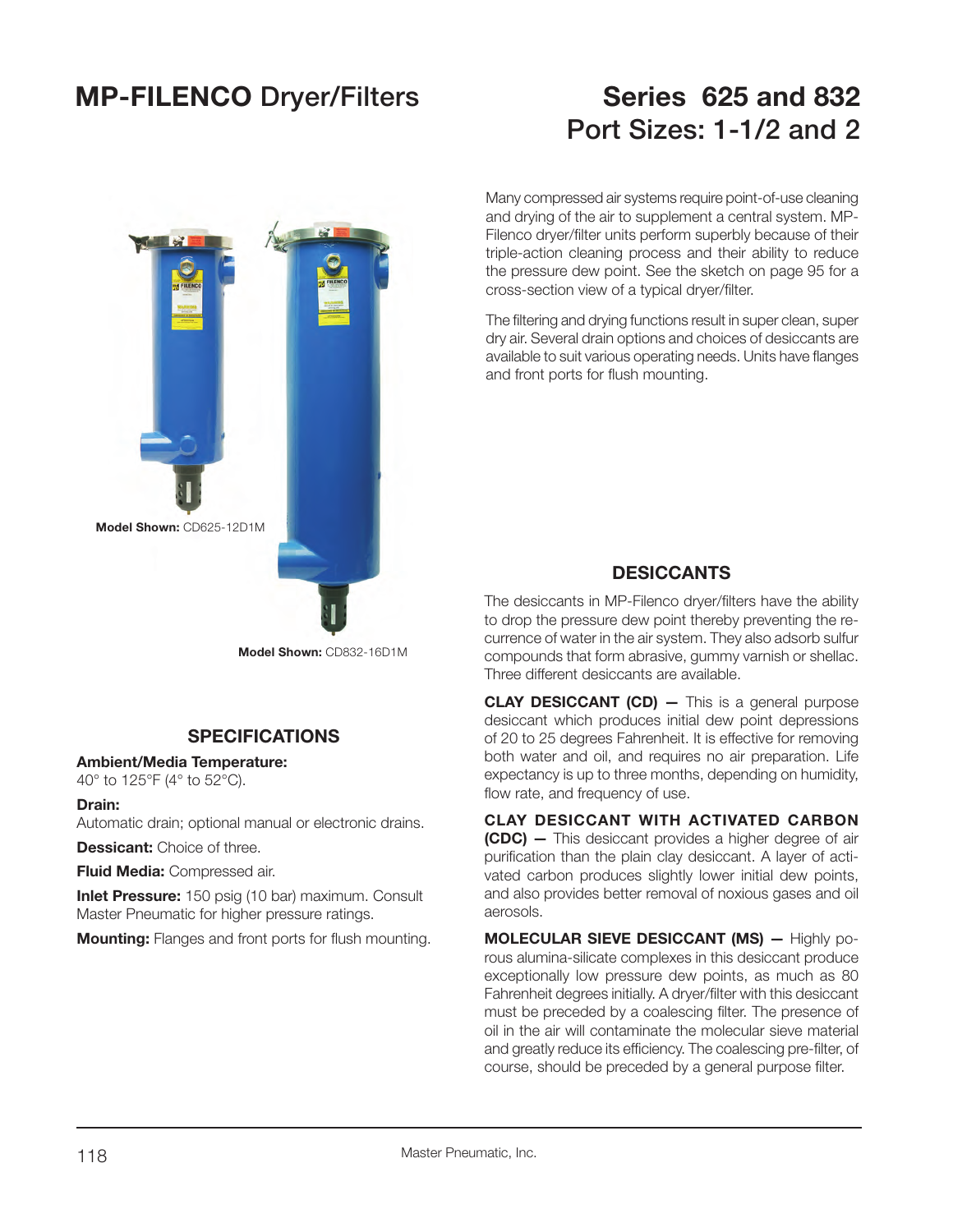### **MP-FILENCO Dryer/Filters Series 625 and 832**

# **Port Sizes: 1-1/2 and 2**



**Model Shown:** CD832-16D1M

### **SPECIFICATIONS**

#### **Ambient/Media Temperature:**

40° to 125°F (4° to 52°C).

#### **Drain:**

Automatic drain; optional manual or electronic drains.

**Dessicant:** Choice of three.

**Fluid Media:** Compressed air.

**Inlet Pressure:** 150 psig (10 bar) maximum. Consult Master Pneumatic for higher pressure ratings.

**Mounting:** Flanges and front ports for flush mounting.

Many compressed air systems require point-of-use cleaning and drying of the air to supplement a central system. MP-Filenco dryer/filter units perform superbly because of their triple-action cleaning process and their ability to reduce the pressure dew point. See the sketch on page 95 for a cross-section view of a typical dryer/filter.

The filtering and drying functions result in super clean, super dry air. Several drain options and choices of desiccants are available to suit various operating needs. Units have flanges and front ports for flush mounting.

### **DESICCANTS**

The desiccants in MP-Filenco dryer/filters have the ability to drop the pressure dew point thereby preventing the recurrence of water in the air system. They also adsorb sulfur compounds that form abrasive, gummy varnish or shellac. Three different desiccants are available.

**CLAY DESICCANT (CD) –** This is a general purpose desiccant which produces initial dew point depressions of 20 to 25 degrees Fahrenheit. It is effective for removing both water and oil, and requires no air preparation. Life expectancy is up to three months, depending on humidity, flow rate, and frequency of use.

**CLAY DESICCANT WITH ACTIVATED CARBON (CDC) —** This desiccant provides a higher degree of air purification than the plain clay desiccant. A layer of activated carbon produces slightly lower initial dew points, and also provides better removal of noxious gases and oil aerosols.

**MOLECULAR SIEVE DESICCANT (MS) —** Highly porous alumina-silicate complexes in this desiccant produce exceptionally low pressure dew points, as much as 80 Fahrenheit degrees initially. A dryer/filter with this desiccant must be preceded by a coalescing filter. The presence of oil in the air will contaminate the molecular sieve material and greatly reduce its efficiency. The coalescing pre-filter, of course, should be preceded by a general purpose filter.